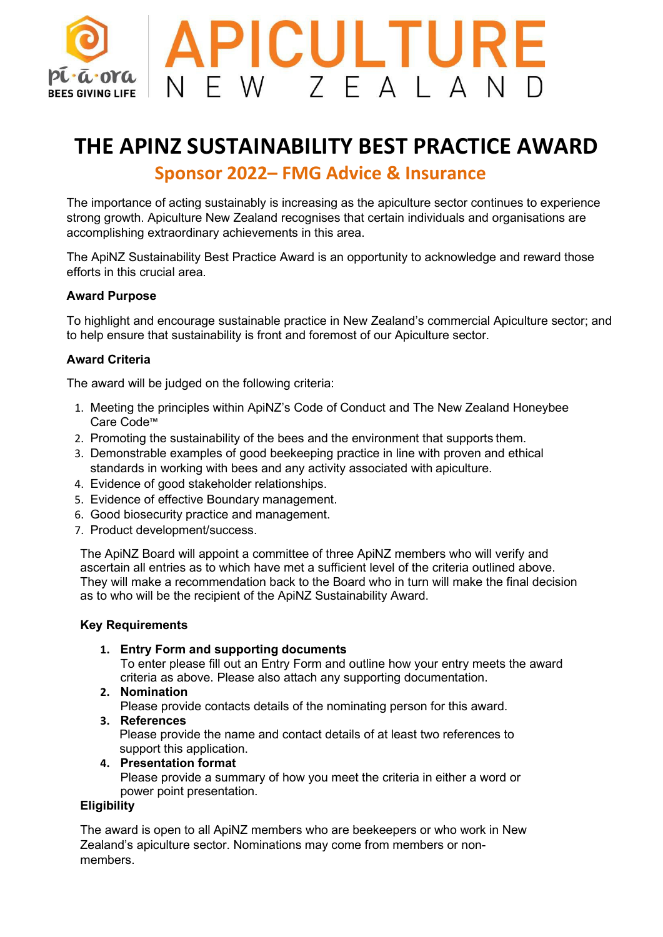

# **THE APINZ SUSTAINABILITY BEST PRACTICE AWARD Sponsor 2022– FMG Advice & Insurance**

The importance of acting sustainably is increasing as the apiculture sector continues to experience strong growth. Apiculture New Zealand recognises that certain individuals and organisations are accomplishing extraordinary achievements in this area.

The ApiNZ Sustainability Best Practice Award is an opportunity to acknowledge and reward those efforts in this crucial area.

#### **Award Purpose**

To highlight and encourage sustainable practice in New Zealand's commercial Apiculture sector; and to help ensure that sustainability is front and foremost of our Apiculture sector.

### **Award Criteria**

The award will be judged on the following criteria:

- 1. Meeting the principles within ApiNZ's Code of Conduct and The New Zealand Honeybee Care Code™
- 2. Promoting the sustainability of the bees and the environment that supports them.
- 3. Demonstrable examples of good beekeeping practice in line with proven and ethical standards in working with bees and any activity associated with apiculture.
- 4. Evidence of good stakeholder relationships.
- 5. Evidence of effective Boundary management.
- 6. Good biosecurity practice and management.
- 7. Product development/success.

The ApiNZ Board will appoint a committee of three ApiNZ members who will verify and ascertain all entries as to which have met a sufficient level of the criteria outlined above. They will make a recommendation back to the Board who in turn will make the final decision as to who will be the recipient of the ApiNZ Sustainability Award.

#### **Key Requirements**

**1. Entry Form and supporting documents**

To enter please fill out an Entry Form and outline how your entry meets the award criteria as above. Please also attach any supporting documentation.

#### **2. Nomination**

Please provide contacts details of the nominating person for this award.

- **3. References** Please provide the name and contact details of at least two references to
- support this application. **4. Presentation format**

Please provide a summary of how you meet the criteria in either a word or power point presentation.

#### **Eligibility**

The award is open to all ApiNZ members who are beekeepers or who work in New Zealand's apiculture sector. Nominations may come from members or nonmembers.